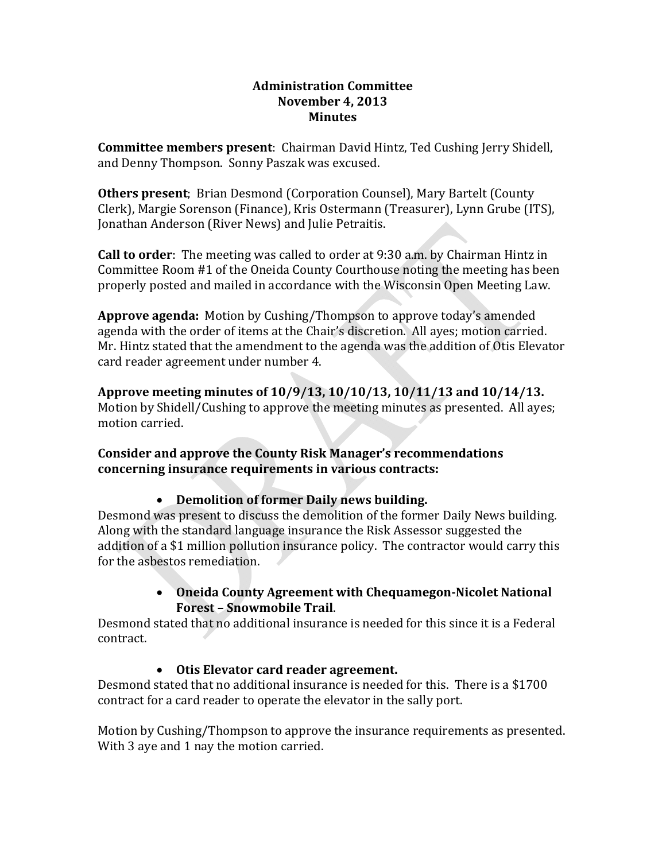#### **Administration Committee November 4, 2013 Minutes**

**Committee members present**: Chairman David Hintz, Ted Cushing Jerry Shidell, and Denny Thompson. Sonny Paszak was excused.

**Others present**; Brian Desmond (Corporation Counsel), Mary Bartelt (County Clerk), Margie Sorenson (Finance), Kris Ostermann (Treasurer), Lynn Grube (ITS), Jonathan Anderson (River News) and Julie Petraitis.

**Call to order**: The meeting was called to order at 9:30 a.m. by Chairman Hintz in Committee Room #1 of the Oneida County Courthouse noting the meeting has been properly posted and mailed in accordance with the Wisconsin Open Meeting Law.

**Approve agenda:** Motion by Cushing/Thompson to approve today's amended agenda with the order of items at the Chair's discretion. All ayes; motion carried. Mr. Hintz stated that the amendment to the agenda was the addition of Otis Elevator card reader agreement under number 4.

**Approve meeting minutes of 10/9/13, 10/10/13, 10/11/13 and 10/14/13.** Motion by Shidell/Cushing to approve the meeting minutes as presented. All ayes; motion carried.

**Consider and approve the County Risk Manager's recommendations concerning insurance requirements in various contracts:**

### • **Demolition of former Daily news building.**

Desmond was present to discuss the demolition of the former Daily News building. Along with the standard language insurance the Risk Assessor suggested the addition of a \$1 million pollution insurance policy. The contractor would carry this for the asbestos remediation.

### • **Oneida County Agreement with ChequamegonNicolet National Forest – Snowmobile Trail**.

Desmond stated that no additional insurance is needed for this since it is a Federal contract.

# • **Otis Elevator card reader agreement.**

Desmond stated that no additional insurance is needed for this. There is a \$1700 contract for a card reader to operate the elevator in the sally port.

Motion by Cushing/Thompson to approve the insurance requirements as presented. With 3 aye and 1 nay the motion carried.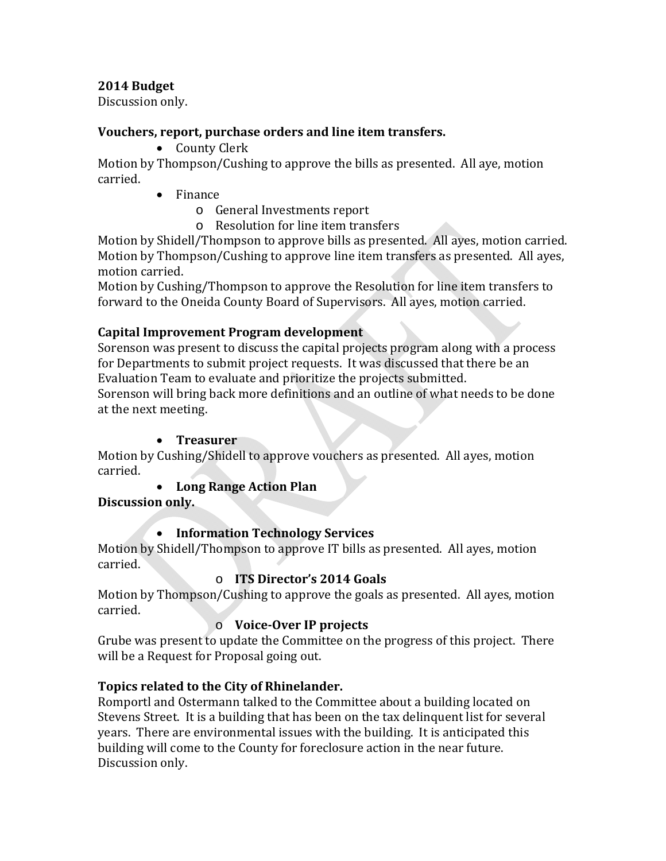### **2014 Budget**

Discussion only.

### **Vouchers, report, purchase orders and line item transfers.**

• County Clerk

Motion by Thompson/Cushing to approve the bills as presented. All aye, motion carried.

- Finance
	- o General Investments report
	- o Resolution for line item transfers

Motion by Shidell/Thompson to approve bills as presented. All ayes, motion carried. Motion by Thompson/Cushing to approve line item transfers as presented. All ayes, motion carried.

Motion by Cushing/Thompson to approve the Resolution for line item transfers to forward to the Oneida County Board of Supervisors. All ayes, motion carried.

# **Capital Improvement Program development**

Sorenson was present to discuss the capital projects program along with a process for Departments to submit project requests. It was discussed that there be an Evaluation Team to evaluate and prioritize the projects submitted.

Sorenson will bring back more definitions and an outline of what needs to be done at the next meeting.

### • **Treasurer**

Motion by Cushing/Shidell to approve vouchers as presented. All ayes, motion carried.

### • **Long Range Action Plan**

**Discussion only.**

# • **Information Technology Services**

Motion by Shidell/Thompson to approve IT bills as presented. All ayes, motion carried.

# o **ITS Director's 2014 Goals**

Motion by Thompson/Cushing to approve the goals as presented. All ayes, motion carried.

### o **VoiceOver IP projects**

Grube was present to update the Committee on the progress of this project. There will be a Request for Proposal going out.

# **Topics related to the City of Rhinelander.**

Romportl and Ostermann talked to the Committee about a building located on Stevens Street. It is a building that has been on the tax delinquent list for several years. There are environmental issues with the building. It is anticipated this building will come to the County for foreclosure action in the near future. Discussion only.